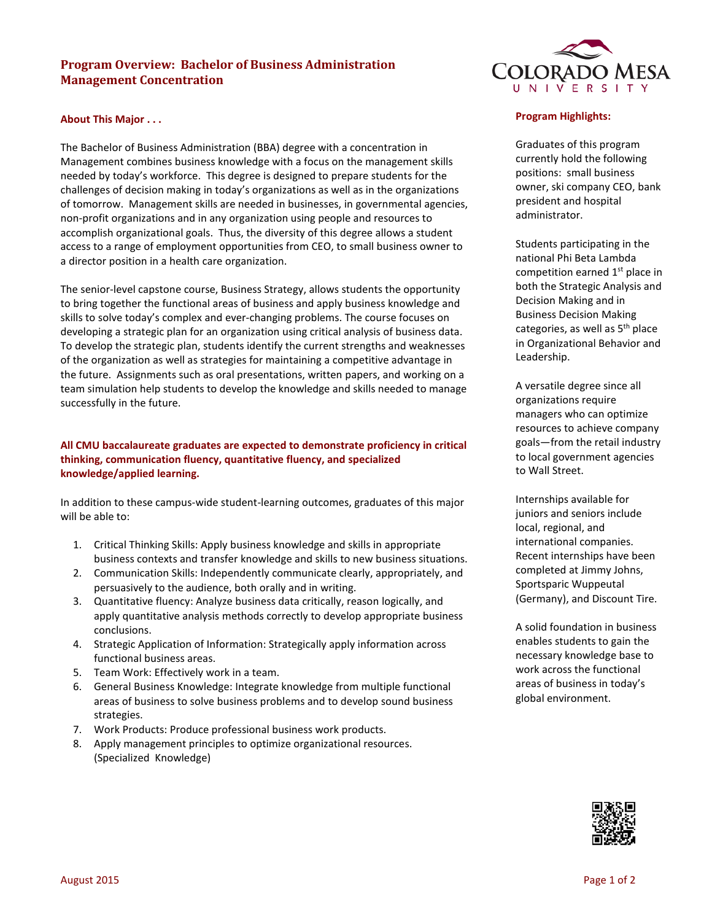# **Program Overview: Bachelor of Business Administration Management Concentration**

### **About This Major . . .**

The Bachelor of Business Administration (BBA) degree with a concentration in Management combines business knowledge with a focus on the management skills needed by today's workforce. This degree is designed to prepare students for the challenges of decision making in today's organizations as well as in the organizations of tomorrow. Management skills are needed in businesses, in governmental agencies, non-profit organizations and in any organization using people and resources to accomplish organizational goals. Thus, the diversity of this degree allows a student access to a range of employment opportunities from CEO, to small business owner to a director position in a health care organization.

The senior-level capstone course, Business Strategy, allows students the opportunity to bring together the functional areas of business and apply business knowledge and skills to solve today's complex and ever-changing problems. The course focuses on developing a strategic plan for an organization using critical analysis of business data. To develop the strategic plan, students identify the current strengths and weaknesses of the organization as well as strategies for maintaining a competitive advantage in the future. Assignments such as oral presentations, written papers, and working on a team simulation help students to develop the knowledge and skills needed to manage successfully in the future.

## **All CMU baccalaureate graduates are expected to demonstrate proficiency in critical thinking, communication fluency, quantitative fluency, and specialized knowledge/applied learning.**

In addition to these campus-wide student-learning outcomes, graduates of this major will be able to:

- 1. Critical Thinking Skills: Apply business knowledge and skills in appropriate business contexts and transfer knowledge and skills to new business situations.
- 2. Communication Skills: Independently communicate clearly, appropriately, and persuasively to the audience, both orally and in writing.
- 3. Quantitative fluency: Analyze business data critically, reason logically, and apply quantitative analysis methods correctly to develop appropriate business conclusions.
- 4. Strategic Application of Information: Strategically apply information across functional business areas.
- 5. Team Work: Effectively work in a team.
- 6. General Business Knowledge: Integrate knowledge from multiple functional areas of business to solve business problems and to develop sound business strategies.
- 7. Work Products: Produce professional business work products.
- 8. Apply management principles to optimize organizational resources. (Specialized Knowledge)



#### **Program Highlights:**

Graduates of this program currently hold the following positions: small business owner, ski company CEO, bank president and hospital administrator.

Students participating in the national Phi Beta Lambda competition earned  $1<sup>st</sup>$  place in both the Strategic Analysis and Decision Making and in Business Decision Making categories, as well as 5th place in Organizational Behavior and Leadership.

A versatile degree since all organizations require managers who can optimize resources to achieve company goals—from the retail industry to local government agencies to Wall Street.

Internships available for juniors and seniors include local, regional, and international companies. Recent internships have been completed at Jimmy Johns, Sportsparic Wuppeutal (Germany), and Discount Tire.

A solid foundation in business enables students to gain the necessary knowledge base to work across the functional areas of business in today's global environment.